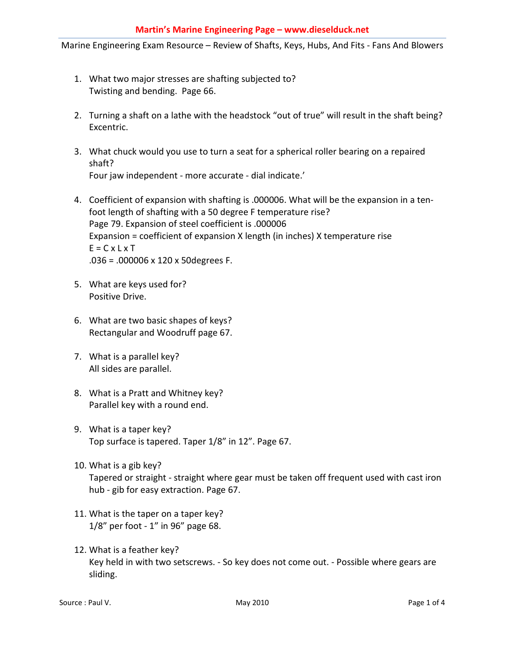Marine Engineering Exam Resource – Review of Shafts, Keys, Hubs, And Fits - Fans And Blowers

- 1. What two major stresses are shafting subjected to? Twisting and bending. Page 66.
- 2. Turning a shaft on a lathe with the headstock "out of true" will result in the shaft being? Excentric.
- 3. What chuck would you use to turn a seat for a spherical roller bearing on a repaired shaft? Four jaw independent - more accurate - dial indicate.'
- 4. Coefficient of expansion with shafting is .000006. What will be the expansion in a tenfoot length of shafting with a 50 degree F temperature rise? Page 79. Expansion of steel coefficient is .000006 Expansion = coefficient of expansion X length (in inches) X temperature rise  $E = C \times L \times T$ .036 = .000006 x 120 x 50degrees F.
- 5. What are keys used for? Positive Drive.
- 6. What are two basic shapes of keys? Rectangular and Woodruff page 67.
- 7. What is a parallel key? All sides are parallel.
- 8. What is a Pratt and Whitney key? Parallel key with a round end.
- 9. What is a taper key? Top surface is tapered. Taper 1/8" in 12". Page 67.
- 10. What is a gib key? Tapered or straight - straight where gear must be taken off frequent used with cast iron hub - gib for easy extraction. Page 67.
- 11. What is the taper on a taper key? 1/8" per foot - 1" in 96" page 68.
- 12. What is a feather key? Key held in with two setscrews. - So key does not come out. - Possible where gears are sliding.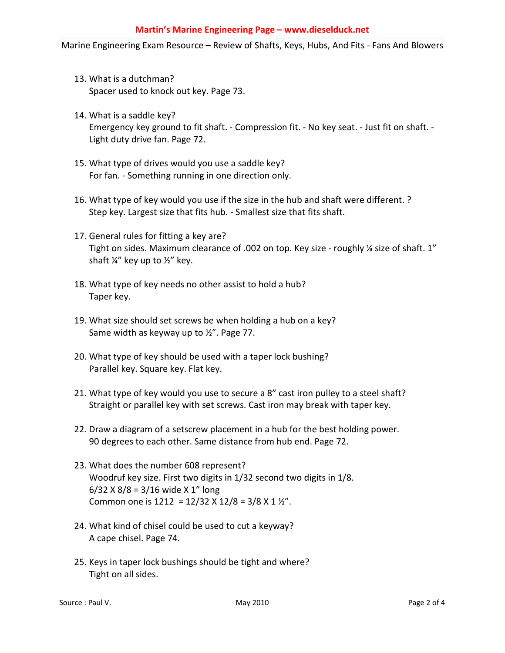Marine Engineering Exam Resource – Review of Shafts, Keys, Hubs, And Fits - Fans And Blowers

- 13. What is a dutchman? Spacer used to knock out key. Page 73.
- 14. What is a saddle key? Emergency key ground to fit shaft. - Compression fit. - No key seat. - Just fit on shaft. - Light duty drive fan. Page 72.
- 15. What type of drives would you use a saddle key? For fan. - Something running in one direction only.
- 16. What type of key would you use if the size in the hub and shaft were different. ? Step key. Largest size that fits hub. - Smallest size that fits shaft.
- 17. General rules for fitting a key are? Tight on sides. Maximum clearance of .002 on top. Key size - roughly % size of shaft. 1" shaft ¼" key up to ½" key.
- 18. What type of key needs no other assist to hold a hub? Taper key.
- 19. What size should set screws be when holding a hub on a key? Same width as keyway up to ½". Page 77.
- 20. What type of key should be used with a taper lock bushing? Parallel key. Square key. Flat key.
- 21. What type of key would you use to secure a 8" cast iron pulley to a steel shaft? Straight or parallel key with set screws. Cast iron may break with taper key.
- 22. Draw a diagram of a setscrew placement in a hub for the best holding power. 90 degrees to each other. Same distance from hub end. Page 72.
- 23. What does the number 608 represent? Woodruf key size. First two digits in 1/32 second two digits in 1/8.  $6/32$  X  $8/8 = 3/16$  wide X 1" long Common one is  $1212 = 12/32 \times 12/8 = 3/8 \times 1 \frac{1}{2}$ .
- 24. What kind of chisel could be used to cut a keyway? A cape chisel. Page 74.
- 25. Keys in taper lock bushings should be tight and where? Tight on all sides.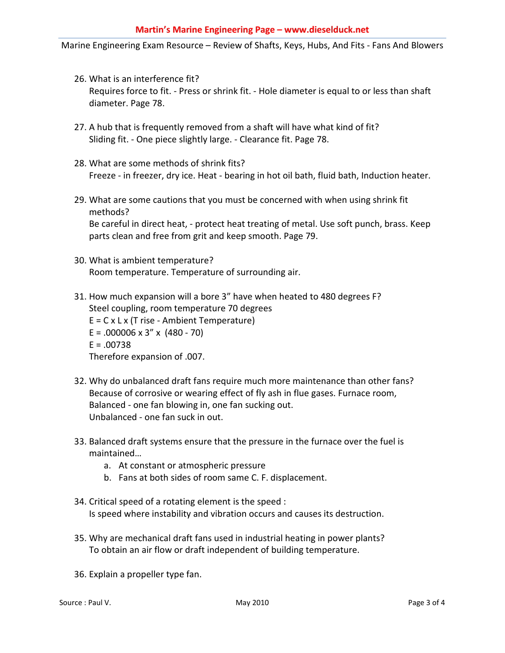Marine Engineering Exam Resource – Review of Shafts, Keys, Hubs, And Fits - Fans And Blowers

- 26. What is an interference fit? Requires force to fit. - Press or shrink fit. - Hole diameter is equal to or less than shaft diameter. Page 78.
- 27. A hub that is frequently removed from a shaft will have what kind of fit? Sliding fit. - One piece slightly large. - Clearance fit. Page 78.
- 28. What are some methods of shrink fits? Freeze - in freezer, dry ice. Heat - bearing in hot oil bath, fluid bath, Induction heater.
- 29. What are some cautions that you must be concerned with when using shrink fit methods?

Be careful in direct heat, - protect heat treating of metal. Use soft punch, brass. Keep parts clean and free from grit and keep smooth. Page 79.

30. What is ambient temperature? Room temperature. Temperature of surrounding air.

31. How much expansion will a bore 3" have when heated to 480 degrees F? Steel coupling, room temperature 70 degrees  $E = C \times L \times (T$  rise - Ambient Temperature)  $E = .000006 \times 3'' \times (480 - 70)$  $E = .00738$ Therefore expansion of .007.

- 32. Why do unbalanced draft fans require much more maintenance than other fans? Because of corrosive or wearing effect of fly ash in flue gases. Furnace room, Balanced - one fan blowing in, one fan sucking out. Unbalanced - one fan suck in out.
- 33. Balanced draft systems ensure that the pressure in the furnace over the fuel is maintained…
	- a. At constant or atmospheric pressure
	- b. Fans at both sides of room same C. F. displacement.
- 34. Critical speed of a rotating element is the speed : Is speed where instability and vibration occurs and causes its destruction.
- 35. Why are mechanical draft fans used in industrial heating in power plants? To obtain an air flow or draft independent of building temperature.
- 36. Explain a propeller type fan.